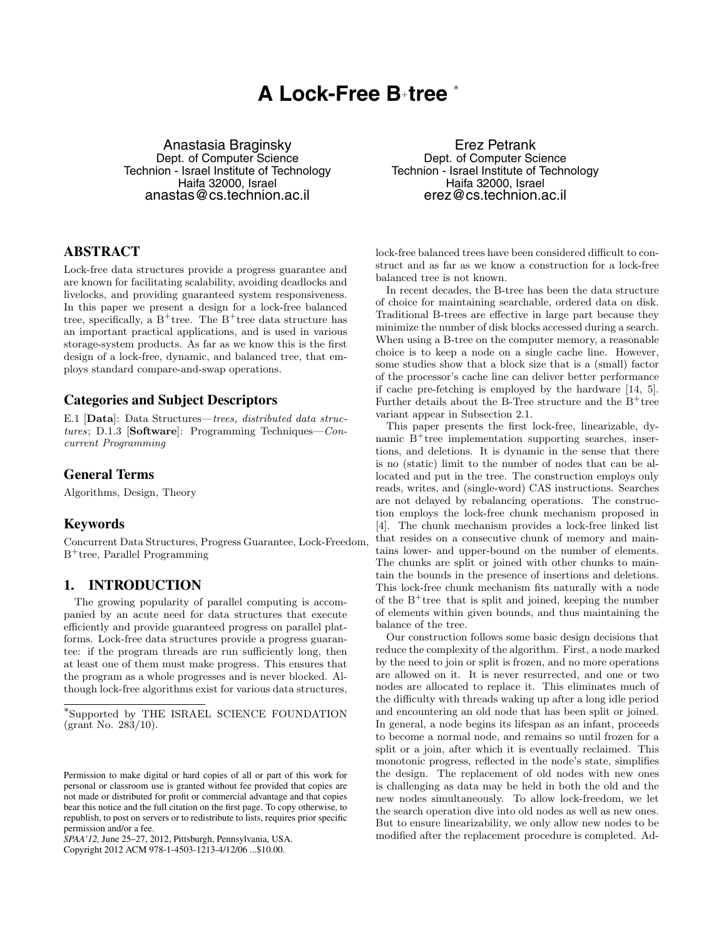# **A Lock-Free B**+**tree** <sup>∗</sup>

Anastasia Braginsky Dept. of Computer Science Technion - Israel Institute of Technology Haifa 32000, Israel anastas@cs.technion.ac.il

Erez Petrank Dept. of Computer Science Technion - Israel Institute of Technology Haifa 32000, Israel erez@cs.technion.ac.il

# **ABSTRACT**

Lock-free data structures provide a progress guarantee and are known for facilitating scalability, avoiding deadlocks and livelocks, and providing guaranteed system responsiveness. In this paper we present a design for a lock-free balanced tree, specifically, a  $B^+$ tree. The  $B^+$ tree data structure has an important practical applications, and is used in various storage-system products. As far as we know this is the first design of a lock-free, dynamic, and balanced tree, that employs standard compare-and-swap operations.

## **Categories and Subject Descriptors**

E.1 [**Data**]: Data Structures—*trees, distributed data structures*; D.1.3 [**Software**]: Programming Techniques—*Concurrent Programming*

## **General Terms**

Algorithms, Design, Theory

## **Keywords**

Concurrent Data Structures, Progress Guarantee, Lock-Freedom, B<sup>+</sup>tree, Parallel Programming

# **1. INTRODUCTION**

The growing popularity of parallel computing is accompanied by an acute need for data structures that execute efficiently and provide guaranteed progress on parallel platforms. Lock-free data structures provide a progress guarantee: if the program threads are run sufficiently long, then at least one of them must make progress. This ensures that the program as a whole progresses and is never blocked. Although lock-free algorithms exist for various data structures,

*SPAA'12,* June 25–27, 2012, Pittsburgh, Pennsylvania, USA.

Copyright 2012 ACM 978-1-4503-1213-4/12/06 ...\$10.00.

lock-free balanced trees have been considered difficult to construct and as far as we know a construction for a lock-free balanced tree is not known.

In recent decades, the B-tree has been the data structure of choice for maintaining searchable, ordered data on disk. Traditional B-trees are effective in large part because they minimize the number of disk blocks accessed during a search. When using a B-tree on the computer memory, a reasonable choice is to keep a node on a single cache line. However, some studies show that a block size that is a (small) factor of the processor's cache line can deliver better performance if cache pre-fetching is employed by the hardware [14, 5]. Further details about the B-Tree structure and the  $B^{+}$ tree variant appear in Subsection 2.1.

This paper presents the first lock-free, linearizable, dynamic  $B^+$ tree implementation supporting searches, insertions, and deletions. It is dynamic in the sense that there is no (static) limit to the number of nodes that can be allocated and put in the tree. The construction employs only reads, writes, and (single-word) CAS instructions. Searches are not delayed by rebalancing operations. The construction employs the lock-free chunk mechanism proposed in [4]. The chunk mechanism provides a lock-free linked list that resides on a consecutive chunk of memory and maintains lower- and upper-bound on the number of elements. The chunks are split or joined with other chunks to maintain the bounds in the presence of insertions and deletions. This lock-free chunk mechanism fits naturally with a node of the  $B^{+}$ tree that is split and joined, keeping the number of elements within given bounds, and thus maintaining the balance of the tree.

Our construction follows some basic design decisions that reduce the complexity of the algorithm. First, a node marked by the need to join or split is frozen, and no more operations are allowed on it. It is never resurrected, and one or two nodes are allocated to replace it. This eliminates much of the difficulty with threads waking up after a long idle period and encountering an old node that has been split or joined. In general, a node begins its lifespan as an infant, proceeds to become a normal node, and remains so until frozen for a split or a join, after which it is eventually reclaimed. This monotonic progress, reflected in the node's state, simplifies the design. The replacement of old nodes with new ones is challenging as data may be held in both the old and the new nodes simultaneously. To allow lock-freedom, we let the search operation dive into old nodes as well as new ones. But to ensure linearizability, we only allow new nodes to be modified after the replacement procedure is completed. Ad-

<sup>∗</sup>Supported by THE ISRAEL SCIENCE FOUNDATION (grant No. 283/10).

Permission to make digital or hard copies of all or part of this work for personal or classroom use is granted without fee provided that copies are not made or distributed for profit or commercial advantage and that copies bear this notice and the full citation on the first page. To copy otherwise, to republish, to post on servers or to redistribute to lists, requires prior specific permission and/or a fee.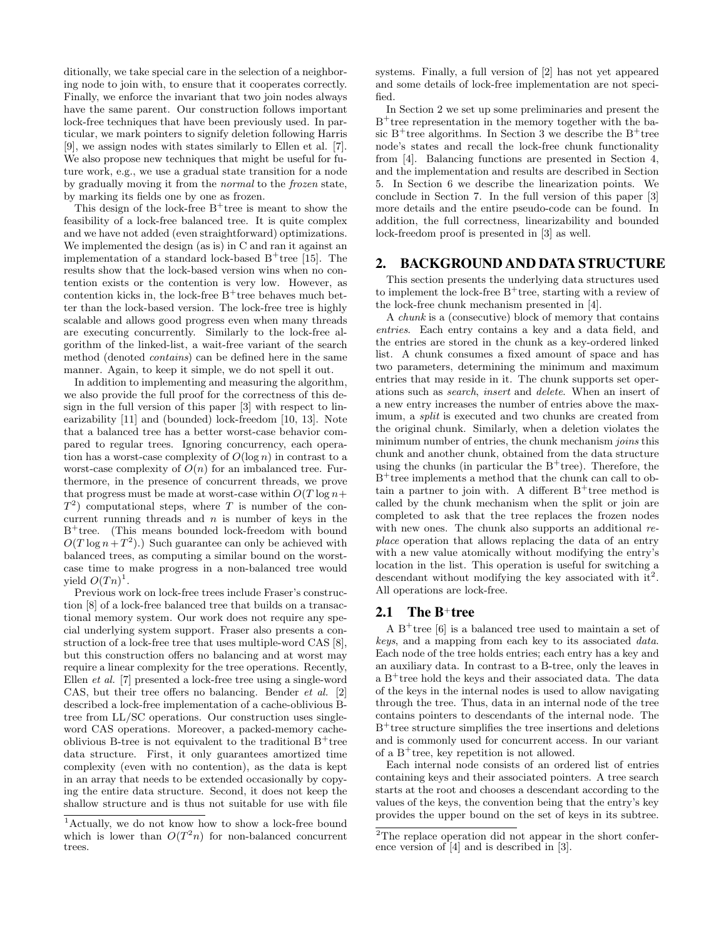ditionally, we take special care in the selection of a neighboring node to join with, to ensure that it cooperates correctly. Finally, we enforce the invariant that two join nodes always have the same parent. Our construction follows important lock-free techniques that have been previously used. In particular, we mark pointers to signify deletion following Harris [9], we assign nodes with states similarly to Ellen et al. [7]. We also propose new techniques that might be useful for future work, e.g., we use a gradual state transition for a node by gradually moving it from the *normal* to the *frozen* state, by marking its fields one by one as frozen.

This design of the lock-free  $B^+$ tree is meant to show the feasibility of a lock-free balanced tree. It is quite complex and we have not added (even straightforward) optimizations. We implemented the design (as is) in C and ran it against an implementation of a standard lock-based  $B^+$ tree [15]. The results show that the lock-based version wins when no contention exists or the contention is very low. However, as contention kicks in, the lock-free  $B^+$ tree behaves much better than the lock-based version. The lock-free tree is highly scalable and allows good progress even when many threads are executing concurrently. Similarly to the lock-free algorithm of the linked-list, a wait-free variant of the search method (denoted *contains*) can be defined here in the same manner. Again, to keep it simple, we do not spell it out.

In addition to implementing and measuring the algorithm, we also provide the full proof for the correctness of this design in the full version of this paper [3] with respect to linearizability [11] and (bounded) lock-freedom [10, 13]. Note that a balanced tree has a better worst-case behavior compared to regular trees. Ignoring concurrency, each operation has a worst-case complexity of  $O(\log n)$  in contrast to a worst-case complexity of  $O(n)$  for an imbalanced tree. Furthermore, in the presence of concurrent threads, we prove that progress must be made at worst-case within  $O(T \log n +$  $T<sup>2</sup>$ ) computational steps, where *T* is number of the concurrent running threads and *n* is number of keys in the  $B<sup>+</sup>$ tree. (This means bounded lock-freedom with bound  $O(T \log n + T^2)$ .) Such guarantee can only be achieved with balanced trees, as computing a similar bound on the worstcase time to make progress in a non-balanced tree would yield  $O(Tn)^1$ .

Previous work on lock-free trees include Fraser's construction [8] of a lock-free balanced tree that builds on a transactional memory system. Our work does not require any special underlying system support. Fraser also presents a construction of a lock-free tree that uses multiple-word CAS [8], but this construction offers no balancing and at worst may require a linear complexity for the tree operations. Recently, Ellen *et al.* [7] presented a lock-free tree using a single-word CAS, but their tree offers no balancing. Bender *et al.* [2] described a lock-free implementation of a cache-oblivious Btree from LL/SC operations. Our construction uses singleword CAS operations. Moreover, a packed-memory cacheoblivious B-tree is not equivalent to the traditional  $B^+$ tree data structure. First, it only guarantees amortized time complexity (even with no contention), as the data is kept in an array that needs to be extended occasionally by copying the entire data structure. Second, it does not keep the shallow structure and is thus not suitable for use with file systems. Finally, a full version of [2] has not yet appeared and some details of lock-free implementation are not specified.

In Section 2 we set up some preliminaries and present the  $B<sup>+</sup>$ tree representation in the memory together with the basic  $B^+$ tree algorithms. In Section 3 we describe the  $B^+$ tree node's states and recall the lock-free chunk functionality from [4]. Balancing functions are presented in Section 4, and the implementation and results are described in Section 5. In Section 6 we describe the linearization points. We conclude in Section 7. In the full version of this paper [3] more details and the entire pseudo-code can be found. In addition, the full correctness, linearizability and bounded lock-freedom proof is presented in [3] as well.

#### **2. BACKGROUND AND DATA STRUCTURE**

This section presents the underlying data structures used to implement the lock-free  $B^+$ tree, starting with a review of the lock-free chunk mechanism presented in [4].

A *chunk* is a (consecutive) block of memory that contains *entries*. Each entry contains a key and a data field, and the entries are stored in the chunk as a key-ordered linked list. A chunk consumes a fixed amount of space and has two parameters, determining the minimum and maximum entries that may reside in it. The chunk supports set operations such as *search*, *insert* and *delete*. When an insert of a new entry increases the number of entries above the maximum, a *split* is executed and two chunks are created from the original chunk. Similarly, when a deletion violates the minimum number of entries, the chunk mechanism *joins* this chunk and another chunk, obtained from the data structure using the chunks (in particular the  $B^+$ tree). Therefore, the B<sup>+</sup>tree implements a method that the chunk can call to obtain a partner to join with. A different  $B^+$  tree method is called by the chunk mechanism when the split or join are completed to ask that the tree replaces the frozen nodes with new ones. The chunk also supports an additional *replace* operation that allows replacing the data of an entry with a new value atomically without modifying the entry's location in the list. This operation is useful for switching a descendant without modifying the key associated with  $it^2$ . All operations are lock-free.

## **2.1 The B**+**tree**

A  $B^{+}$ tree [6] is a balanced tree used to maintain a set of *keys*, and a mapping from each key to its associated *data*. Each node of the tree holds entries; each entry has a key and an auxiliary data. In contrast to a B-tree, only the leaves in a  $B<sup>+</sup>$ tree hold the keys and their associated data. The data of the keys in the internal nodes is used to allow navigating through the tree. Thus, data in an internal node of the tree contains pointers to descendants of the internal node. The  $B<sup>+</sup>$ tree structure simplifies the tree insertions and deletions and is commonly used for concurrent access. In our variant of a  $B^+$ tree, key repetition is not allowed.

Each internal node consists of an ordered list of entries containing keys and their associated pointers. A tree search starts at the root and chooses a descendant according to the values of the keys, the convention being that the entry's key provides the upper bound on the set of keys in its subtree.

<sup>&</sup>lt;sup>1</sup>Actually, we do not know how to show a lock-free bound which is lower than  $O(T^2n)$  for non-balanced concurrent trees.

<sup>&</sup>lt;sup>2</sup>The replace operation did not appear in the short conference version of [4] and is described in [3].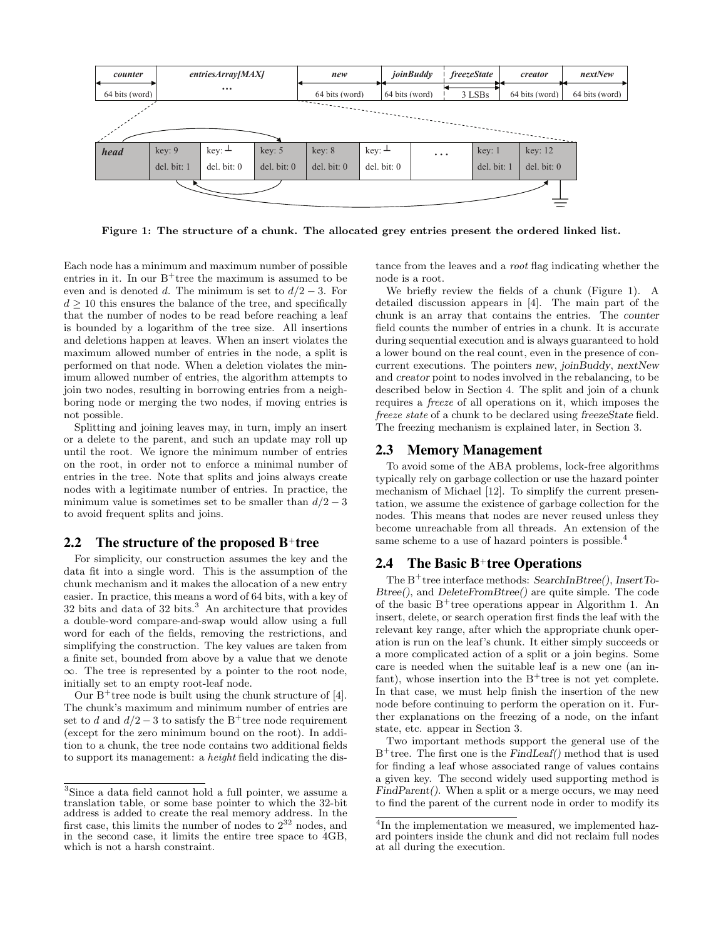

**Figure 1: The structure of a chunk. The allocated grey entries present the ordered linked list.**

Each node has a minimum and maximum number of possible entries in it. In our  $B^+$ tree the maximum is assumed to be even and is denoted *d*. The minimum is set to  $d/2 - 3$ . For  $d \geq 10$  this ensures the balance of the tree, and specifically that the number of nodes to be read before reaching a leaf is bounded by a logarithm of the tree size. All insertions and deletions happen at leaves. When an insert violates the maximum allowed number of entries in the node, a split is performed on that node. When a deletion violates the minimum allowed number of entries, the algorithm attempts to join two nodes, resulting in borrowing entries from a neighboring node or merging the two nodes, if moving entries is not possible.

Splitting and joining leaves may, in turn, imply an insert or a delete to the parent, and such an update may roll up until the root. We ignore the minimum number of entries on the root, in order not to enforce a minimal number of entries in the tree. Note that splits and joins always create nodes with a legitimate number of entries. In practice, the minimum value is sometimes set to be smaller than  $d/2 - 3$ to avoid frequent splits and joins.

#### **2.2 The structure of the proposed B**+**tree**

For simplicity, our construction assumes the key and the data fit into a single word. This is the assumption of the chunk mechanism and it makes the allocation of a new entry easier. In practice, this means a word of 64 bits, with a key of  $32$  bits and data of  $32$  bits.<sup>3</sup> An architecture that provides a double-word compare-and-swap would allow using a full word for each of the fields, removing the restrictions, and simplifying the construction. The key values are taken from a finite set, bounded from above by a value that we denote  $\infty$ . The tree is represented by a pointer to the root node, initially set to an empty root-leaf node.

Our  $B^+$  tree node is built using the chunk structure of [4]. The chunk's maximum and minimum number of entries are set to *d* and  $d/2 - 3$  to satisfy the B<sup>+</sup>tree node requirement (except for the zero minimum bound on the root). In addition to a chunk, the tree node contains two additional fields to support its management: a *height* field indicating the dis-

tance from the leaves and a *root* flag indicating whether the node is a root.

We briefly review the fields of a chunk (Figure 1). A detailed discussion appears in [4]. The main part of the chunk is an array that contains the entries. The *counter* field counts the number of entries in a chunk. It is accurate during sequential execution and is always guaranteed to hold a lower bound on the real count, even in the presence of concurrent executions. The pointers *new*, *joinBuddy*, *nextNew* and *creator* point to nodes involved in the rebalancing, to be described below in Section 4. The split and join of a chunk requires a *freeze* of all operations on it, which imposes the *freeze state* of a chunk to be declared using *freezeState* field. The freezing mechanism is explained later, in Section 3.

#### **2.3 Memory Management**

To avoid some of the ABA problems, lock-free algorithms typically rely on garbage collection or use the hazard pointer mechanism of Michael [12]. To simplify the current presentation, we assume the existence of garbage collection for the nodes. This means that nodes are never reused unless they become unreachable from all threads. An extension of the same scheme to a use of hazard pointers is possible.<sup>4</sup>

#### **2.4 The Basic B**+**tree Operations**

The B<sup>+</sup>tree interface methods: *SearchInBtree()*, *InsertTo-Btree()*, and *DeleteFromBtree()* are quite simple. The code of the basic  $B^{+}$ tree operations appear in Algorithm 1. An insert, delete, or search operation first finds the leaf with the relevant key range, after which the appropriate chunk operation is run on the leaf's chunk. It either simply succeeds or a more complicated action of a split or a join begins. Some care is needed when the suitable leaf is a new one (an infant), whose insertion into the  $B^+$ tree is not yet complete. In that case, we must help finish the insertion of the new node before continuing to perform the operation on it. Further explanations on the freezing of a node, on the infant state, etc. appear in Section 3.

Two important methods support the general use of the B<sup>+</sup>tree. The first one is the *FindLeaf()* method that is used for finding a leaf whose associated range of values contains a given key. The second widely used supporting method is *FindParent().* When a split or a merge occurs, we may need to find the parent of the current node in order to modify its

 ${}^{3}\mathrm{Since}$  a data field cannot hold a full pointer, we assume a translation table, or some base pointer to which the 32-bit address is added to create the real memory address. In the first case, this limits the number of nodes to  $2^{32}$  nodes, and in the second case, it limits the entire tree space to 4GB, which is not a harsh constraint.

<sup>&</sup>lt;sup>4</sup>In the implementation we measured, we implemented hazard pointers inside the chunk and did not reclaim full nodes at all during the execution.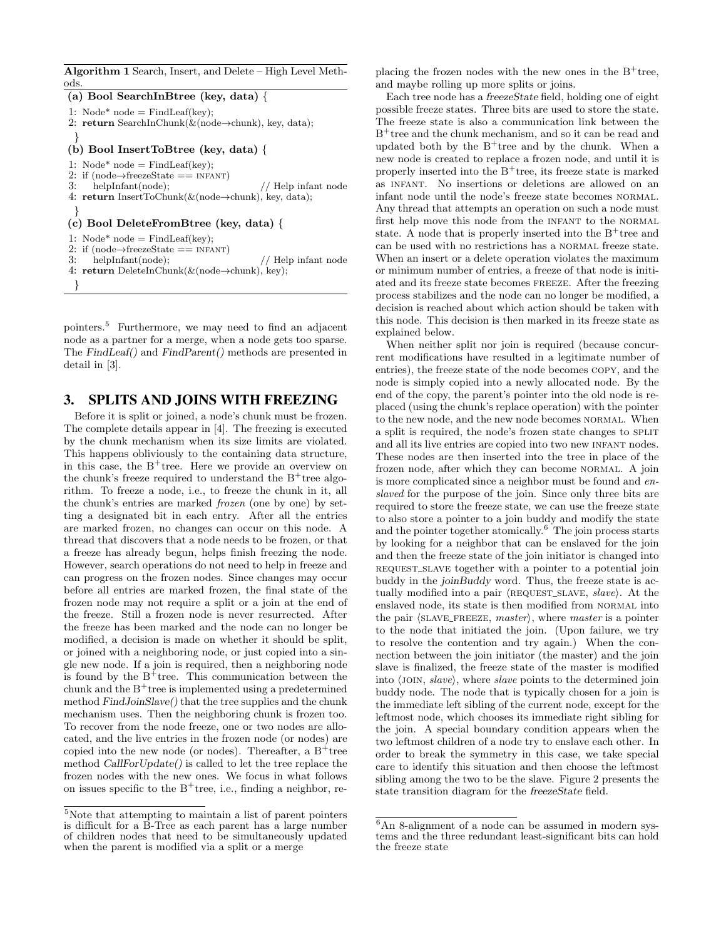**Algorithm 1** Search, Insert, and Delete – High Level Methods.

**(a) Bool SearchInBtree (key, data)** { 1: Node\*  $node = FindLeaf(key);$ 2: **return** SearchInChunk(&(node→chunk), key, data); } **(b) Bool InsertToBtree (key, data)** { 1: Node\* node =  $FindLeaf(key);$ 2: if  $(node \rightarrow freezeState == INFANT)$ 3: helpInfant(node); // Help infant node 4: **return** InsertToChunk(&(node→chunk), key, data); } **(c) Bool DeleteFromBtree (key, data)** { 1:  $Node^* node = FindLeaf(key);$ 2: if  $(node \rightarrow freezeState == INFANT)$ <br>3: helpInfant(node); 3: helpInfant(node); // Help infant node 4: **return** DeleteInChunk(&(node→chunk), key); }

pointers.<sup>5</sup> Furthermore, we may need to find an adjacent node as a partner for a merge, when a node gets too sparse. The *FindLeaf()* and *FindParent()* methods are presented in detail in [3].

## **3. SPLITS AND JOINS WITH FREEZING**

Before it is split or joined, a node's chunk must be frozen. The complete details appear in [4]. The freezing is executed by the chunk mechanism when its size limits are violated. This happens obliviously to the containing data structure, in this case, the  $B^{+}$ tree. Here we provide an overview on the chunk's freeze required to understand the  $B^+$ tree algorithm. To freeze a node, i.e., to freeze the chunk in it, all the chunk's entries are marked *frozen* (one by one) by setting a designated bit in each entry. After all the entries are marked frozen, no changes can occur on this node. A thread that discovers that a node needs to be frozen, or that a freeze has already begun, helps finish freezing the node. However, search operations do not need to help in freeze and can progress on the frozen nodes. Since changes may occur before all entries are marked frozen, the final state of the frozen node may not require a split or a join at the end of the freeze. Still a frozen node is never resurrected. After the freeze has been marked and the node can no longer be modified, a decision is made on whether it should be split, or joined with a neighboring node, or just copied into a single new node. If a join is required, then a neighboring node is found by the  $B^+$ tree. This communication between the chunk and the  $B^+$ tree is implemented using a predetermined method *FindJoinSlave()* that the tree supplies and the chunk mechanism uses. Then the neighboring chunk is frozen too. To recover from the node freeze, one or two nodes are allocated, and the live entries in the frozen node (or nodes) are copied into the new node (or nodes). Thereafter, a  $B^+$ tree method *CallForUpdate()* is called to let the tree replace the frozen nodes with the new ones. We focus in what follows on issues specific to the  $B<sup>+</sup>$ tree, i.e., finding a neighbor, replacing the frozen nodes with the new ones in the  $B^+$ tree, and maybe rolling up more splits or joins.

Each tree node has a *freezeState* field, holding one of eight possible freeze states. Three bits are used to store the state. The freeze state is also a communication link between the B<sup>+</sup>tree and the chunk mechanism, and so it can be read and updated both by the  $B^+$ tree and by the chunk. When a new node is created to replace a frozen node, and until it is properly inserted into the  $B<sup>+</sup>$ tree, its freeze state is marked as infant. No insertions or deletions are allowed on an infant node until the node's freeze state becomes normal. Any thread that attempts an operation on such a node must first help move this node from the INFANT to the NORMAL state. A node that is properly inserted into the  $B^+$ tree and can be used with no restrictions has a normal freeze state. When an insert or a delete operation violates the maximum or minimum number of entries, a freeze of that node is initiated and its freeze state becomes FREEZE. After the freezing process stabilizes and the node can no longer be modified, a decision is reached about which action should be taken with this node. This decision is then marked in its freeze state as explained below.

When neither split nor join is required (because concurrent modifications have resulted in a legitimate number of entries), the freeze state of the node becomes copy, and the node is simply copied into a newly allocated node. By the end of the copy, the parent's pointer into the old node is replaced (using the chunk's replace operation) with the pointer to the new node, and the new node becomes normal. When a split is required, the node's frozen state changes to SPLIT and all its live entries are copied into two new INFANT nodes. These nodes are then inserted into the tree in place of the frozen node, after which they can become normal. A join is more complicated since a neighbor must be found and *enslaved* for the purpose of the join. Since only three bits are required to store the freeze state, we can use the freeze state to also store a pointer to a join buddy and modify the state and the pointer together atomically.<sup>6</sup> The join process starts by looking for a neighbor that can be enslaved for the join and then the freeze state of the join initiator is changed into request slave together with a pointer to a potential join buddy in the *joinBuddy* word. Thus, the freeze state is actually modified into a pair (REQUEST\_SLAVE, *slave*). At the enslaved node, its state is then modified from normal into the pair  $\langle$ SLAVE\_FREEZE, *master* $\rangle$ , where *master* is a pointer to the node that initiated the join. (Upon failure, we try to resolve the contention and try again.) When the connection between the join initiator (the master) and the join slave is finalized, the freeze state of the master is modified into  $\langle$ JOIN, *slave* $\rangle$ , where *slave* points to the determined join buddy node. The node that is typically chosen for a join is the immediate left sibling of the current node, except for the leftmost node, which chooses its immediate right sibling for the join. A special boundary condition appears when the two leftmost children of a node try to enslave each other. In order to break the symmetry in this case, we take special care to identify this situation and then choose the leftmost sibling among the two to be the slave. Figure 2 presents the state transition diagram for the *freezeState* field.

<sup>5</sup>Note that attempting to maintain a list of parent pointers is difficult for a B-Tree as each parent has a large number of children nodes that need to be simultaneously updated when the parent is modified via a split or a merge

 $6$ An 8-alignment of a node can be assumed in modern systems and the three redundant least-significant bits can hold the freeze state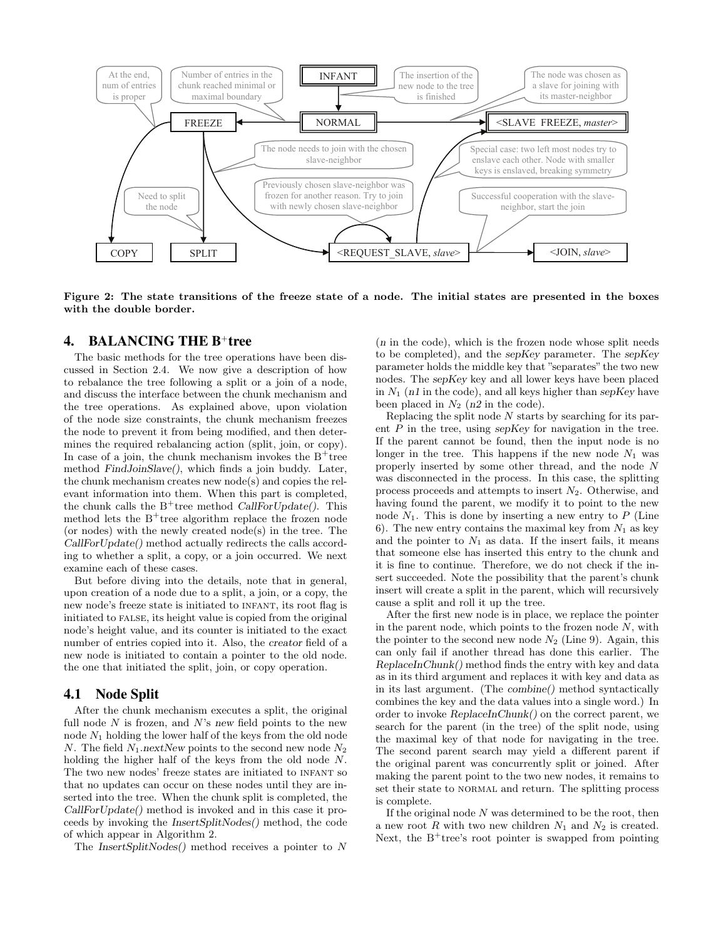

**Figure 2: The state transitions of the freeze state of a node. The initial states are presented in the boxes with the double border.**

#### **4. BALANCING THE B**+**tree**

The basic methods for the tree operations have been discussed in Section 2.4. We now give a description of how to rebalance the tree following a split or a join of a node, and discuss the interface between the chunk mechanism and the tree operations. As explained above, upon violation of the node size constraints, the chunk mechanism freezes the node to prevent it from being modified, and then determines the required rebalancing action (split, join, or copy). In case of a join, the chunk mechanism invokes the  $B^{+}$ tree method *FindJoinSlave()*, which finds a join buddy. Later, the chunk mechanism creates new node(s) and copies the relevant information into them. When this part is completed, the chunk calls the  $B^+$ tree method *CallForUpdate()*. This method lets the  $B^+$ tree algorithm replace the frozen node (or nodes) with the newly created node(s) in the tree. The *CallForUpdate()* method actually redirects the calls according to whether a split, a copy, or a join occurred. We next examine each of these cases.

But before diving into the details, note that in general, upon creation of a node due to a split, a join, or a copy, the new node's freeze state is initiated to infant, its root flag is initiated to false, its height value is copied from the original node's height value, and its counter is initiated to the exact number of entries copied into it. Also, the *creator* field of a new node is initiated to contain a pointer to the old node. the one that initiated the split, join, or copy operation.

#### **4.1 Node Split**

After the chunk mechanism executes a split, the original full node *N* is frozen, and *N*'s *new* field points to the new node *N*<sup>1</sup> holding the lower half of the keys from the old node *N*. The field *N*1.*nextNew* points to the second new node *N*<sup>2</sup> holding the higher half of the keys from the old node *N*. The two new nodes' freeze states are initiated to infant so that no updates can occur on these nodes until they are inserted into the tree. When the chunk split is completed, the *CallForUpdate()* method is invoked and in this case it proceeds by invoking the *InsertSplitNodes()* method, the code of which appear in Algorithm 2.

The *InsertSplitNodes()* method receives a pointer to *N*

(*n* in the code), which is the frozen node whose split needs to be completed), and the *sepKey* parameter. The *sepKey* parameter holds the middle key that "separates" the two new nodes. The *sepKey* key and all lower keys have been placed in *N*<sup>1</sup> (*n1* in the code), and all keys higher than *sepKey* have been placed in *N*<sup>2</sup> (*n2* in the code).

Replacing the split node *N* starts by searching for its parent *P* in the tree, using *sepKey* for navigation in the tree. If the parent cannot be found, then the input node is no longer in the tree. This happens if the new node  $N_1$  was properly inserted by some other thread, and the node *N* was disconnected in the process. In this case, the splitting process proceeds and attempts to insert *N*2. Otherwise, and having found the parent, we modify it to point to the new node  $N_1$ . This is done by inserting a new entry to  $P$  (Line 6). The new entry contains the maximal key from  $N_1$  as key and the pointer to  $N_1$  as data. If the insert fails, it means that someone else has inserted this entry to the chunk and it is fine to continue. Therefore, we do not check if the insert succeeded. Note the possibility that the parent's chunk insert will create a split in the parent, which will recursively cause a split and roll it up the tree.

After the first new node is in place, we replace the pointer in the parent node, which points to the frozen node *N*, with the pointer to the second new node  $N_2$  (Line 9). Again, this can only fail if another thread has done this earlier. The *ReplaceInChunk()* method finds the entry with key and data as in its third argument and replaces it with key and data as in its last argument. (The *combine()* method syntactically combines the key and the data values into a single word.) In order to invoke *ReplaceInChunk()* on the correct parent, we search for the parent (in the tree) of the split node, using the maximal key of that node for navigating in the tree. The second parent search may yield a different parent if the original parent was concurrently split or joined. After making the parent point to the two new nodes, it remains to set their state to NORMAL and return. The splitting process is complete.

If the original node *N* was determined to be the root, then a new root R with two new children  $N_1$  and  $N_2$  is created. Next, the  $B^+$ tree's root pointer is swapped from pointing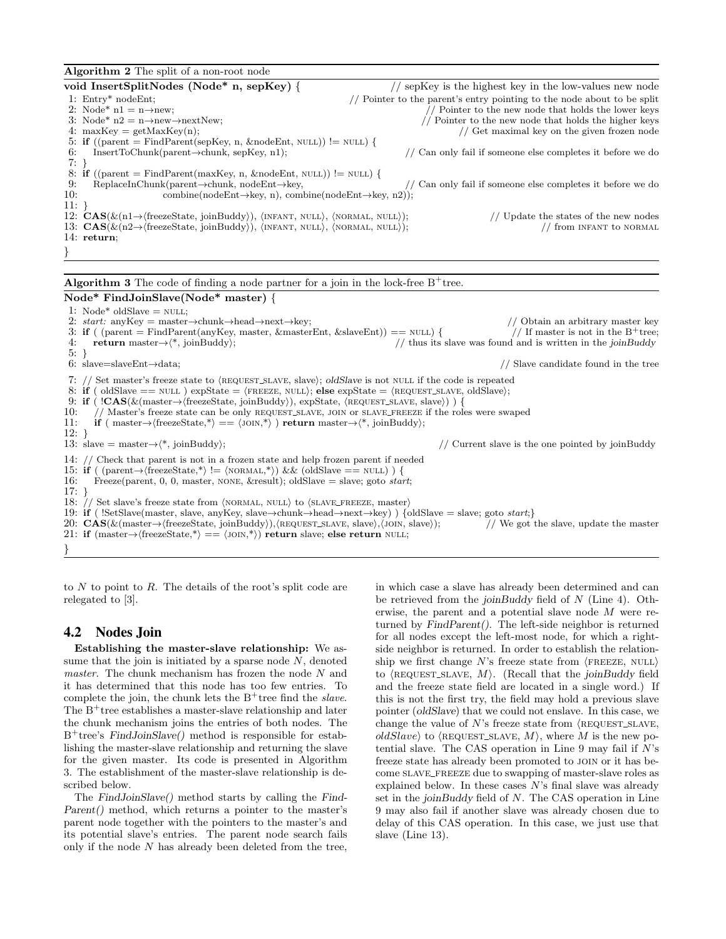```
Algorithm 2 The split of a non-root node
void InsertSplitNodes (Node* n, sepKey) { \frac{1}{2} // sepKey is the highest key in the low-values new node
1: Entry* nodeEnt;<br>
\frac{1}{2}: Node* n1 = n→new;<br>
\frac{1}{2}: Node* n1 = n→new;<br>
\frac{1}{2}: Node* n1 = n→new;
2: Node* n1 = n \rightarrow new;<br>
3: \text{Node* } n2 = n \rightarrow new \rightarrow new \text{Next}<br>
\frac{7}{2} Pointer to the new node that holds the lower keys
3: Node* n^2 = n \rightarrow new \rightarrow new\ m; \frac{1}{2} = n \rightarrownew \rightarrownextNew; \frac{1}{2} = new node that holds the higher keys
                                                                                       // Get maximal key on the given frozen node
5: if ((parent = FindParent(sepKey, n, <i>knodeEnt</i>, NULL)) != NULL}
6: InsertToChunk(parent→chunk, sepKey, n1); // Can only fail if someone else completes it before we do
7:8: if ((parent = FindParent(maxKey, n, &nodeEnt, NULL)) != NULL) {
9: ReplaceInChunk(parent→chunk, nodeEnt→key, // Can only fail if someone else completes it before we do<br>10: combine(nodeEnt→key, n), combine(nodeEnt→key, n));
                     10: combine(nodeEnt→key, n), combine(nodeEnt→key, n2));
11:12: CAS(&(n1→{freezeState, joinBuddy)), {INFANT, NULL}, \NORMAL, NULL}); // Update the states of the new nodes
13: CAS(&(n2→{freezeState, joinBuddy)), \langleINFANT, NULL\rangle, \langleNORMAL, NULL\rangle); // from INFANT to NORMAL
14: return;
}
```
#### **Algorithm 3** The code of finding a node partner for a join in the lock-free  $B^+$ tree.

**Node\* FindJoinSlave(Node\* master)** { 1: Node\* oldSlave  $=$  NULL; 2: *start:* anyKey = master→chunk→head→next→key; <br>  $\frac{3}{2}$ : **if** ( (parent = FindParent(anyKey, master, &masterEnt, &slaveEnt)) == NULL) { // If master is not in the B<sup>+</sup>tree; 3: **if** ( (parent = FindParent(anyKey, master, &masterEnt, &slaveEnt)) == NULL) { **1: return** master  $\rightarrow$  (\*, joinBuddy); // thus its  $1/$  thus its slave was found and is written in the *joinBuddy* 5: } 6: slave=slaveEnt→data; // Slave candidate found in the tree 7: // Set master's freeze state to  $\langle$  REQUEST\_SLAVE, slave $\rangle$ ; *oldSlave* is not NULL if the code is repeated 8: **if** (  $oldBlue == NULL$  )  $expState = \{FREEZE, NULL\}$ ; **else**  $expState = \{REQUEST\_SLAVE, oldSlave\}$ ; 9: **if** ( $|{\bf CAS}(\&(\text{master}\rightarrow\text{{\{freezeState, joinBuddy\}}}),$  expState,  $\langle{\bf REQUEST\_SLAVE, slave}\rangle)$ ) { 10: // Master's freeze state can be only request slave, join or slave freeze if the roles were swaped 11: **if** ( master→ $\langle$ freezeState,<sup>\*</sup>) ==  $\langle$ JOIN,<sup>\*</sup> $\rangle$ ) **return** master→ $\langle$ <sup>\*</sup>, joinBuddy $\rangle$ ; 12: } 13: slave = master $\rightarrow$ <sup>\*</sup>, joinBuddy);  $\rightarrow$  // Current slave is the one pointed by joinBuddy 14: // Check that parent is not in a frozen state and help frozen parent if needed 15: **if** (  $(\text{parent}\rightarrow\langle\text{freezeState},\rangle) := \langle\text{NORMAL},\rangle) \&& \text{(oldSlave == NULL)}$  ) { 16: Freeze(parent, 0, 0, master, none, &result); oldSlave = slave; goto *start*; 17: } 18: // Set slave's freeze state from  $\langle NORMAL, NULL \rangle$  to  $\langle SLAVE\_FREEZE, master \rangle$ 19: **if** ( !SetSlave(master, slave, anyKey, slave→chunk→head→next→key) ) {oldSlave = slave; goto *start*;} 20: **CAS**(&(master→(freezeState, joinBuddy)), (REQUEST\_SLAVE, slave), (JOIN, slave)); // We got the slave, update the master 21: **if**  $(maxter \rightarrow \langle freezeState, * \rangle == \langle JOIN, * \rangle)$  **return** slave; **else return** NULL; }

to *N* to point to *R*. The details of the root's split code are relegated to [3].

## **4.2 Nodes Join**

**Establishing the master-slave relationship:** We assume that the join is initiated by a sparse node *N*, denoted *master*. The chunk mechanism has frozen the node *N* and it has determined that this node has too few entries. To complete the join, the chunk lets the B<sup>+</sup>tree find the *slave*. The  $B^+$ tree establishes a master-slave relationship and later the chunk mechanism joins the entries of both nodes. The B<sup>+</sup>tree's *FindJoinSlave()* method is responsible for establishing the master-slave relationship and returning the slave for the given master. Its code is presented in Algorithm 3. The establishment of the master-slave relationship is described below.

The *FindJoinSlave()* method starts by calling the *Find-Parent()* method, which returns a pointer to the master's parent node together with the pointers to the master's and its potential slave's entries. The parent node search fails only if the node *N* has already been deleted from the tree,

in which case a slave has already been determined and can be retrieved from the *joinBuddy* field of *N* (Line 4). Otherwise, the parent and a potential slave node *M* were returned by *FindParent()*. The left-side neighbor is returned for all nodes except the left-most node, for which a rightside neighbor is returned. In order to establish the relationship we first change  $N$ 's freeze state from  $\langle$ FREEZE, NULL $\rangle$ to  $\langle$ REQUEST\_SLAVE, M $\rangle$ . (Recall that the *joinBuddy* field and the freeze state field are located in a single word.) If this is not the first try, the field may hold a previous slave pointer (*oldSlave*) that we could not enslave. In this case, we change the value of  $N$ 's freeze state from  $\langle$ REQUEST\_SLAVE, *oldSlave*) to  $\langle$ REQUEST\_SLAVE, *M* $\rangle$ , where *M* is the new potential slave. The CAS operation in Line 9 may fail if *N*'s freeze state has already been promoted to join or it has become slave freeze due to swapping of master-slave roles as explained below. In these cases *N*'s final slave was already set in the *joinBuddy* field of *N*. The CAS operation in Line 9 may also fail if another slave was already chosen due to delay of this CAS operation. In this case, we just use that slave (Line 13).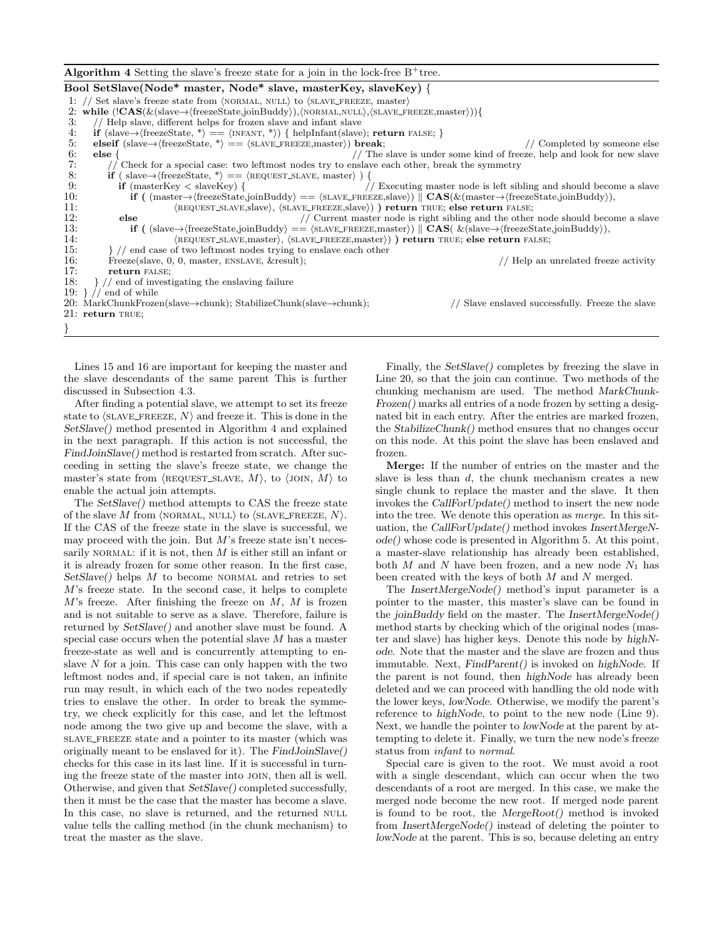| <b>Algorithm 4</b> Setting the slave's freeze state for a join in the lock-free $B^+$ tree.                                                                                                                  |  |  |  |
|--------------------------------------------------------------------------------------------------------------------------------------------------------------------------------------------------------------|--|--|--|
| Bool SetSlave(Node* master, Node* slave, masterKey, slaveKey) {                                                                                                                                              |  |  |  |
| 1: // Set slave's freeze state from $\langle NORMAL, NULL \rangle$ to $\langle SLAVE\_FREEZE, master \rangle$                                                                                                |  |  |  |
| 2: while $(ICAS(\&s ave \rightarrow \langle freezeState, joinBuddy \rangle), \langle NORMAL, NULL \rangle, \langle SLAVE\_FREE, master \rangle))$                                                            |  |  |  |
| // Help slave, different helps for frozen slave and infant slave<br>3:                                                                                                                                       |  |  |  |
| <b>if</b> (slave- $\langle$ freezeState, *) == $\langle$ INFANT, *) { helpInfant(slave); return FALSE; }<br>4:                                                                                               |  |  |  |
| elseif (slave $\rightarrow$ {freezeState, *) == $\langle$ SLAVE_FREEZE,master}) break;<br>// Completed by someone else<br>5:                                                                                 |  |  |  |
| 6:<br>// The slave is under some kind of freeze, help and look for new slave<br>else                                                                                                                         |  |  |  |
| 7:<br>// Check for a special case: two leftmost nodes try to enslave each other, break the symmetry                                                                                                          |  |  |  |
| 8:<br>$\textbf{if} \ (\ \text{slave} \rightarrow \ \text{freezeState}, \*) = \ \text{{} \ \text{REQUEST\_SLAVE}, \ \text{master} \ \} \ \}$                                                                  |  |  |  |
| 9:<br>// Executing master node is left sibling and should become a slave<br><b>if</b> (masterKey $\lt$ slaveKey) {                                                                                           |  |  |  |
| <b>if</b> ( $(\text{master}\rightarrow\text{{\{freeze}\}state, joinBuddy}) = (\text{{\{SAVE\_FREEZE, slave\}}) \parallel \text{CAS}(\&(\text{master}\rightarrow\text{{\{freeze}\}side, joinBuddy})$ )<br>10: |  |  |  |
| 11:<br>$\langle$ REQUEST_SLAVE,slave $\rangle$ , $\langle$ SLAVE_FREEZE,slave $\rangle$ ) return TRUE; else return FALSE;                                                                                    |  |  |  |
| 12:<br>// Current master node is right sibling and the other node should become a slave<br>else                                                                                                              |  |  |  |
| 13:<br><b>if</b> (slave $\rightarrow$ (freezeState, joinBuddy) = $\langle$ SLAVE_FREEZE, master))    <b>CAS</b> ( $\&$ (slave $\rightarrow$ (freezeState, joinBuddy)),                                       |  |  |  |
| 14:<br>$\langle$ REQUEST_SLAVE,master $\rangle$ , $\langle$ SLAVE_FREEZE,master $\rangle$ ) return TRUE; else return FALSE;                                                                                  |  |  |  |
| 15:<br>\// end case of two leftmost nodes trying to enslave each other                                                                                                                                       |  |  |  |
| 16:<br>$Freeze(slave, 0, 0, master, ENSLAVE, & result);$<br>// Help an unrelated freeze activity                                                                                                             |  |  |  |
| 17:<br>return FALSE;                                                                                                                                                                                         |  |  |  |
| 18:                                                                                                                                                                                                          |  |  |  |
| 19: $\frac{1}{2}$ // end of while                                                                                                                                                                            |  |  |  |
| 20: MarkChunkFrozen(slave $\rightarrow$ chunk); StabilizeChunk(slave $\rightarrow$ chunk);<br>// Slave enslaved successfully. Freeze the slave                                                               |  |  |  |
| $21:$ return TRUE;                                                                                                                                                                                           |  |  |  |
|                                                                                                                                                                                                              |  |  |  |
|                                                                                                                                                                                                              |  |  |  |

Lines 15 and 16 are important for keeping the master and the slave descendants of the same parent This is further discussed in Subsection 4.3.

After finding a potential slave, we attempt to set its freeze state to  $\langle$ SLAVE\_FREEZE,  $N$  and freeze it. This is done in the *SetSlave()* method presented in Algorithm 4 and explained in the next paragraph. If this action is not successful, the *FindJoinSlave()* method is restarted from scratch. After succeeding in setting the slave's freeze state, we change the master's state from  $\langle$ REQUEST\_SLAVE, *M* $\rangle$ , to  $\langle$ JOIN, *M* $\rangle$  to enable the actual join attempts.

The *SetSlave()* method attempts to CAS the freeze state of the slave *M* from  $\langle NORMAL, NULL \rangle$  to  $\langle SLAVE\_FREEZE, N \rangle$ . If the CAS of the freeze state in the slave is successful, we may proceed with the join. But *M*'s freeze state isn't necessarily NORMAL: if it is not, then *M* is either still an infant or it is already frozen for some other reason. In the first case, *SetSlave()* helps *M* to become NORMAL and retries to set *M*'s freeze state. In the second case, it helps to complete *M*'s freeze. After finishing the freeze on *M*, *M* is frozen and is not suitable to serve as a slave. Therefore, failure is returned by *SetSlave()* and another slave must be found. A special case occurs when the potential slave *M* has a master freeze-state as well and is concurrently attempting to enslave *N* for a join. This case can only happen with the two leftmost nodes and, if special care is not taken, an infinite run may result, in which each of the two nodes repeatedly tries to enslave the other. In order to break the symmetry, we check explicitly for this case, and let the leftmost node among the two give up and become the slave, with a slave freeze state and a pointer to its master (which was originally meant to be enslaved for it). The *FindJoinSlave()* checks for this case in its last line. If it is successful in turning the freeze state of the master into join, then all is well. Otherwise, and given that *SetSlave()* completed successfully, then it must be the case that the master has become a slave. In this case, no slave is returned, and the returned NULL value tells the calling method (in the chunk mechanism) to treat the master as the slave.

Finally, the *SetSlave()* completes by freezing the slave in Line 20, so that the join can continue. Two methods of the chunking mechanism are used. The method *MarkChunk-Frozen()* marks all entries of a node frozen by setting a designated bit in each entry. After the entries are marked frozen, the *StabilizeChunk()* method ensures that no changes occur on this node. At this point the slave has been enslaved and frozen.

**Merge:** If the number of entries on the master and the slave is less than *d*, the chunk mechanism creates a new single chunk to replace the master and the slave. It then invokes the *CallForUpdate()* method to insert the new node into the tree. We denote this operation as *merge*. In this situation, the *CallForUpdate()* method invokes *InsertMergeNode()* whose code is presented in Algorithm 5. At this point, a master-slave relationship has already been established, both  $M$  and  $N$  have been frozen, and a new node  $N_1$  has been created with the keys of both *M* and *N* merged.

The *InsertMergeNode()* method's input parameter is a pointer to the master, this master's slave can be found in the *joinBuddy* field on the master. The *InsertMergeNode()* method starts by checking which of the original nodes (master and slave) has higher keys. Denote this node by *highNode*. Note that the master and the slave are frozen and thus immutable. Next, *FindParent()* is invoked on *highNode*. If the parent is not found, then *highNode* has already been deleted and we can proceed with handling the old node with the lower keys, *lowNode*. Otherwise, we modify the parent's reference to *highNode*, to point to the new node (Line 9). Next, we handle the pointer to *lowNode* at the parent by attempting to delete it. Finally, we turn the new node's freeze status from *infant* to *normal*.

Special care is given to the root. We must avoid a root with a single descendant, which can occur when the two descendants of a root are merged. In this case, we make the merged node become the new root. If merged node parent is found to be root, the *MergeRoot()* method is invoked from *InsertMergeNode()* instead of deleting the pointer to *lowNode* at the parent. This is so, because deleting an entry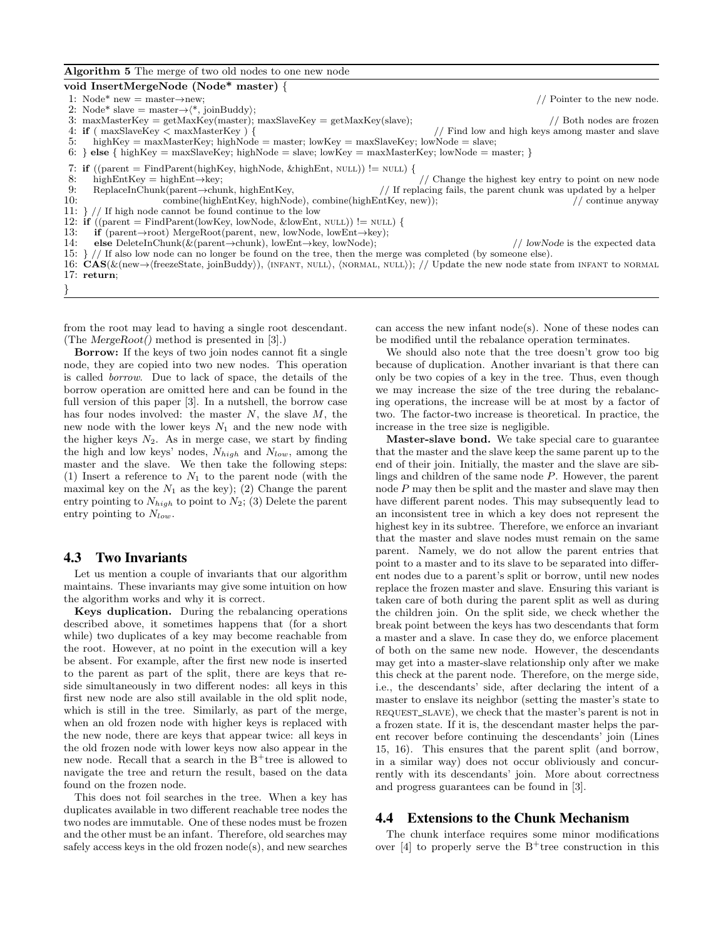**Algorithm 5** The merge of two old nodes to one new node

| void InsertMergeNode (Node* master) { |                                                                                                                                               |                                                                 |  |
|---------------------------------------|-----------------------------------------------------------------------------------------------------------------------------------------------|-----------------------------------------------------------------|--|
|                                       | 1: Node* new = master $\rightarrow$ new;                                                                                                      | // Pointer to the new node.                                     |  |
|                                       | 2: Node* slave = master $\rightarrow$ (*, joinBuddy);                                                                                         |                                                                 |  |
|                                       | 3: maxMasterKey = getMaxKey(master); maxSlaveKey = getMaxKey(slave);                                                                          | Both nodes are frozen                                           |  |
|                                       | 4: if ( maxSlaveKey $\langle$ maxMasterKey $\rangle$ {                                                                                        | // Find low and high keys among master and slave                |  |
| 5:                                    | highKey = maxMasterKey; highNode = master; lowKey = maxSlaveKey; lowNode = slave;                                                             |                                                                 |  |
|                                       | 6: } else { highKey = maxSlaveKey; highNode = slave; lowKey = maxMasterKey; lowNode = master; }                                               |                                                                 |  |
|                                       | 7: if $((parent = FindParent(highKey, highNode, \& highEnt, NULL)) != NULL)$                                                                  |                                                                 |  |
| 8:                                    | highEntKey $=$ highEnt $\rightarrow$ key;                                                                                                     | // Change the highest key entry to point on new node            |  |
| 9:                                    | $\text{ReplaceInChunk}(parent\rightarrow chunk, highEntKey,$                                                                                  | // If replacing fails, the parent chunk was updated by a helper |  |
| 10:                                   | combine(highEntKey, highNode), combine(highEntKey, new));                                                                                     | // continue anyway                                              |  |
|                                       | 11: $\frac{1}{2}$ // If high node cannot be found continue to the low                                                                         |                                                                 |  |
|                                       | 12: if $((parent = FindParent(lowKey, lowNode, & lowEnt, NULL)) := NULL)$ {                                                                   |                                                                 |  |
| 13:                                   | <b>if</b> (parent $\rightarrow$ root) MergeRoot(parent, new, lowNode, lowEnt $\rightarrow$ key);                                              |                                                                 |  |
| 14:                                   | else DeleteInChunk( $\&$ (parent $\rightarrow$ chunk), lowEnt $\rightarrow$ key, lowNode);                                                    | // lowNode is the expected data                                 |  |
|                                       | 15: } // If also low node can no longer be found on the tree, then the merge was completed (by someone else).                                 |                                                                 |  |
|                                       | 16: $CAS(\&$ (new $\rightarrow$ {freezeState, joinBuddy)), (INFANT, NULL), (NORMAL, NULL); // Update the new node state from INFANT to NORMAL |                                                                 |  |
|                                       | $17:$ return:                                                                                                                                 |                                                                 |  |
|                                       |                                                                                                                                               |                                                                 |  |

from the root may lead to having a single root descendant. (The *MergeRoot()* method is presented in [3].)

**Borrow:** If the keys of two join nodes cannot fit a single node, they are copied into two new nodes. This operation is called *borrow*. Due to lack of space, the details of the borrow operation are omitted here and can be found in the full version of this paper [3]. In a nutshell, the borrow case has four nodes involved: the master *N*, the slave *M*, the new node with the lower keys  $N_1$  and the new node with the higher keys  $N_2$ . As in merge case, we start by finding the high and low keys' nodes, *<sup>N</sup>high* and *<sup>N</sup>low*, among the master and the slave. We then take the following steps: (1) Insert a reference to *N*<sup>1</sup> to the parent node (with the maximal key on the  $N_1$  as the key); (2) Change the parent entry pointing to *<sup>N</sup>high* to point to *<sup>N</sup>*2; (3) Delete the parent entry pointing to *<sup>N</sup>low*.

#### **4.3 Two Invariants**

Let us mention a couple of invariants that our algorithm maintains. These invariants may give some intuition on how the algorithm works and why it is correct.

**Keys duplication.** During the rebalancing operations described above, it sometimes happens that (for a short while) two duplicates of a key may become reachable from the root. However, at no point in the execution will a key be absent. For example, after the first new node is inserted to the parent as part of the split, there are keys that reside simultaneously in two different nodes: all keys in this first new node are also still available in the old split node, which is still in the tree. Similarly, as part of the merge, when an old frozen node with higher keys is replaced with the new node, there are keys that appear twice: all keys in the old frozen node with lower keys now also appear in the new node. Recall that a search in the  $B^+$ tree is allowed to navigate the tree and return the result, based on the data found on the frozen node.

This does not foil searches in the tree. When a key has duplicates available in two different reachable tree nodes the two nodes are immutable. One of these nodes must be frozen and the other must be an infant. Therefore, old searches may safely access keys in the old frozen node(s), and new searches can access the new infant node(s). None of these nodes can be modified until the rebalance operation terminates.

We should also note that the tree doesn't grow too big because of duplication. Another invariant is that there can only be two copies of a key in the tree. Thus, even though we may increase the size of the tree during the rebalancing operations, the increase will be at most by a factor of two. The factor-two increase is theoretical. In practice, the increase in the tree size is negligible.

**Master-slave bond.** We take special care to guarantee that the master and the slave keep the same parent up to the end of their join. Initially, the master and the slave are siblings and children of the same node *P*. However, the parent node *P* may then be split and the master and slave may then have different parent nodes. This may subsequently lead to an inconsistent tree in which a key does not represent the highest key in its subtree. Therefore, we enforce an invariant that the master and slave nodes must remain on the same parent. Namely, we do not allow the parent entries that point to a master and to its slave to be separated into different nodes due to a parent's split or borrow, until new nodes replace the frozen master and slave. Ensuring this variant is taken care of both during the parent split as well as during the children join. On the split side, we check whether the break point between the keys has two descendants that form a master and a slave. In case they do, we enforce placement of both on the same new node. However, the descendants may get into a master-slave relationship only after we make this check at the parent node. Therefore, on the merge side, i.e., the descendants' side, after declaring the intent of a master to enslave its neighbor (setting the master's state to request slave), we check that the master's parent is not in a frozen state. If it is, the descendant master helps the parent recover before continuing the descendants' join (Lines 15, 16). This ensures that the parent split (and borrow, in a similar way) does not occur obliviously and concurrently with its descendants' join. More about correctness and progress guarantees can be found in [3].

## **4.4 Extensions to the Chunk Mechanism**

The chunk interface requires some minor modifications over [4] to properly serve the  $B^+$ tree construction in this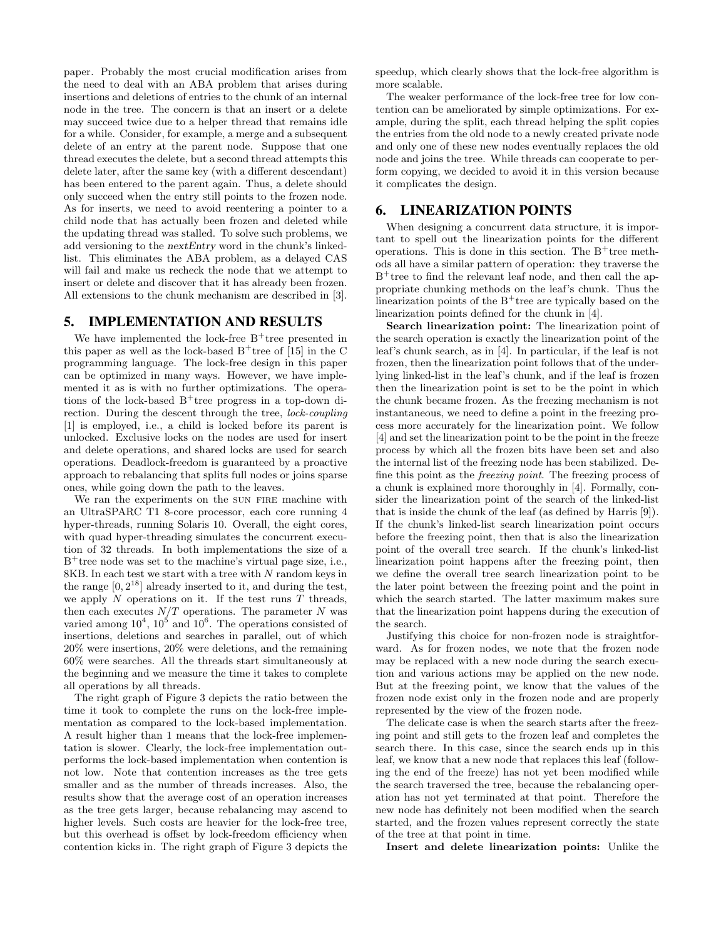paper. Probably the most crucial modification arises from the need to deal with an ABA problem that arises during insertions and deletions of entries to the chunk of an internal node in the tree. The concern is that an insert or a delete may succeed twice due to a helper thread that remains idle for a while. Consider, for example, a merge and a subsequent delete of an entry at the parent node. Suppose that one thread executes the delete, but a second thread attempts this delete later, after the same key (with a different descendant) has been entered to the parent again. Thus, a delete should only succeed when the entry still points to the frozen node. As for inserts, we need to avoid reentering a pointer to a child node that has actually been frozen and deleted while the updating thread was stalled. To solve such problems, we add versioning to the *nextEntry* word in the chunk's linkedlist. This eliminates the ABA problem, as a delayed CAS will fail and make us recheck the node that we attempt to insert or delete and discover that it has already been frozen. All extensions to the chunk mechanism are described in [3].

## **5. IMPLEMENTATION AND RESULTS**

We have implemented the lock-free  $B^+$ tree presented in this paper as well as the lock-based  $B^+$ tree of [15] in the C programming language. The lock-free design in this paper can be optimized in many ways. However, we have implemented it as is with no further optimizations. The operations of the lock-based  $B^+$ tree progress in a top-down direction. During the descent through the tree, *lock-coupling* [1] is employed, i.e., a child is locked before its parent is unlocked. Exclusive locks on the nodes are used for insert and delete operations, and shared locks are used for search operations. Deadlock-freedom is guaranteed by a proactive approach to rebalancing that splits full nodes or joins sparse ones, while going down the path to the leaves.

We ran the experiments on the SUN FIRE machine with an UltraSPARC T1 8-core processor, each core running 4 hyper-threads, running Solaris 10. Overall, the eight cores, with quad hyper-threading simulates the concurrent execution of 32 threads. In both implementations the size of a  $B<sup>+</sup>$ tree node was set to the machine's virtual page size, i.e., 8KB. In each test we start with a tree with *N* random keys in the range  $[0, 2^{18}]$  already inserted to it, and during the test, we apply *N* operations on it. If the test runs *T* threads, then each executes  $N/T$  operations. The parameter  $N$  was varied among  $10^4$ ,  $10^5$  and  $10^6$ . The operations consisted of insertions, deletions and searches in parallel, out of which 20% were insertions, 20% were deletions, and the remaining 60% were searches. All the threads start simultaneously at the beginning and we measure the time it takes to complete all operations by all threads.

The right graph of Figure 3 depicts the ratio between the time it took to complete the runs on the lock-free implementation as compared to the lock-based implementation. A result higher than 1 means that the lock-free implementation is slower. Clearly, the lock-free implementation outperforms the lock-based implementation when contention is not low. Note that contention increases as the tree gets smaller and as the number of threads increases. Also, the results show that the average cost of an operation increases as the tree gets larger, because rebalancing may ascend to higher levels. Such costs are heavier for the lock-free tree, but this overhead is offset by lock-freedom efficiency when contention kicks in. The right graph of Figure 3 depicts the

speedup, which clearly shows that the lock-free algorithm is more scalable.

The weaker performance of the lock-free tree for low contention can be ameliorated by simple optimizations. For example, during the split, each thread helping the split copies the entries from the old node to a newly created private node and only one of these new nodes eventually replaces the old node and joins the tree. While threads can cooperate to perform copying, we decided to avoid it in this version because it complicates the design.

# **6. LINEARIZATION POINTS**

When designing a concurrent data structure, it is important to spell out the linearization points for the different operations. This is done in this section. The  $B^{+}$ tree methods all have a similar pattern of operation: they traverse the  $B<sup>+</sup>$ tree to find the relevant leaf node, and then call the appropriate chunking methods on the leaf's chunk. Thus the linearization points of the  $B^+$ tree are typically based on the linearization points defined for the chunk in [4].

**Search linearization point:** The linearization point of the search operation is exactly the linearization point of the leaf's chunk search, as in [4]. In particular, if the leaf is not frozen, then the linearization point follows that of the underlying linked-list in the leaf's chunk, and if the leaf is frozen then the linearization point is set to be the point in which the chunk became frozen. As the freezing mechanism is not instantaneous, we need to define a point in the freezing process more accurately for the linearization point. We follow [4] and set the linearization point to be the point in the freeze process by which all the frozen bits have been set and also the internal list of the freezing node has been stabilized. Define this point as the *freezing point*. The freezing process of a chunk is explained more thoroughly in [4]. Formally, consider the linearization point of the search of the linked-list that is inside the chunk of the leaf (as defined by Harris [9]). If the chunk's linked-list search linearization point occurs before the freezing point, then that is also the linearization point of the overall tree search. If the chunk's linked-list linearization point happens after the freezing point, then we define the overall tree search linearization point to be the later point between the freezing point and the point in which the search started. The latter maximum makes sure that the linearization point happens during the execution of the search.

Justifying this choice for non-frozen node is straightforward. As for frozen nodes, we note that the frozen node may be replaced with a new node during the search execution and various actions may be applied on the new node. But at the freezing point, we know that the values of the frozen node exist only in the frozen node and are properly represented by the view of the frozen node.

The delicate case is when the search starts after the freezing point and still gets to the frozen leaf and completes the search there. In this case, since the search ends up in this leaf, we know that a new node that replaces this leaf (following the end of the freeze) has not yet been modified while the search traversed the tree, because the rebalancing operation has not yet terminated at that point. Therefore the new node has definitely not been modified when the search started, and the frozen values represent correctly the state of the tree at that point in time.

**Insert and delete linearization points:** Unlike the